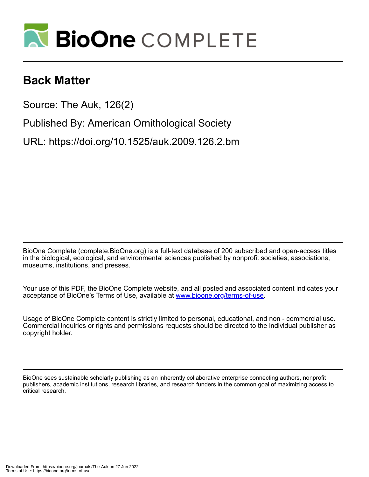

# **Back Matter**

Source: The Auk, 126(2)

Published By: American Ornithological Society

URL: https://doi.org/10.1525/auk.2009.126.2.bm

BioOne Complete (complete.BioOne.org) is a full-text database of 200 subscribed and open-access titles in the biological, ecological, and environmental sciences published by nonprofit societies, associations, museums, institutions, and presses.

Your use of this PDF, the BioOne Complete website, and all posted and associated content indicates your acceptance of BioOne's Terms of Use, available at www.bioone.org/terms-of-use.

Usage of BioOne Complete content is strictly limited to personal, educational, and non - commercial use. Commercial inquiries or rights and permissions requests should be directed to the individual publisher as copyright holder.

BioOne sees sustainable scholarly publishing as an inherently collaborative enterprise connecting authors, nonprofit publishers, academic institutions, research libraries, and research funders in the common goal of maximizing access to critical research.